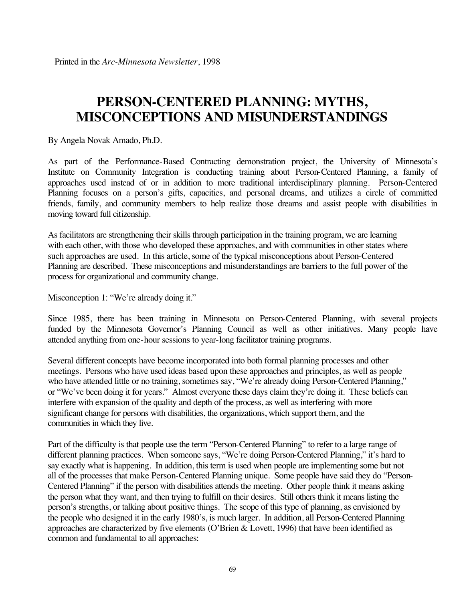# **PERSON-CENTERED PLANNING: MYTHS, MISCONCEPTIONS AND MISUNDERSTANDINGS**

By Angela Novak Amado, Ph.D.

As part of the Performance-Based Contracting demonstration project, the University of Minnesota's Institute on Community Integration is conducting training about Person-Centered Planning, a family of approaches used instead of or in addition to more traditional interdisciplinary planning. Person-Centered Planning focuses on a person's gifts, capacities, and personal dreams, and utilizes a circle of committed friends, family, and community members to help realize those dreams and assist people with disabilities in moving toward full citizenship.

As facilitators are strengthening their skills through participation in the training program, we are learning with each other, with those who developed these approaches, and with communities in other states where such approaches are used. In this article, some of the typical misconceptions about Person-Centered Planning are described. These misconceptions and misunderstandings are barriers to the full power of the process for organizational and community change.

#### Misconception 1: "We're already doing it."

Since 1985, there has been training in Minnesota on Person-Centered Planning, with several projects funded by the Minnesota Governor's Planning Council as well as other initiatives. Many people have attended anything from one-hour sessions to year-long facilitator training programs.

Several different concepts have become incorporated into both formal planning processes and other meetings. Persons who have used ideas based upon these approaches and principles, as well as people who have attended little or no training, sometimes say, "We're already doing Person-Centered Planning," or "We've been doing it for years." Almost everyone these days claim they're doing it. These beliefs can interfere with expansion of the quality and depth of the process, as well as interfering with more significant change for persons with disabilities, the organizations, which support them, and the communities in which they live.

Part of the difficulty is that people use the term "Person-Centered Planning" to refer to a large range of different planning practices. When someone says, "We're doing Person-Centered Planning," it's hard to say exactly what is happening. In addition, this term is used when people are implementing some but not all of the processes that make Person-Centered Planning unique. Some people have said they do "Person-Centered Planning" if the person with disabilities attends the meeting. Other people think it means asking the person what they want, and then trying to fulfill on their desires. Still others think it means listing the person's strengths, or talking about positive things. The scope of this type of planning, as envisioned by the people who designed it in the early 1980's, is much larger. In addition, all Person-Centered Planning approaches are characterized by five elements (O'Brien & Lovett, 1996) that have been identified as common and fundamental to all approaches: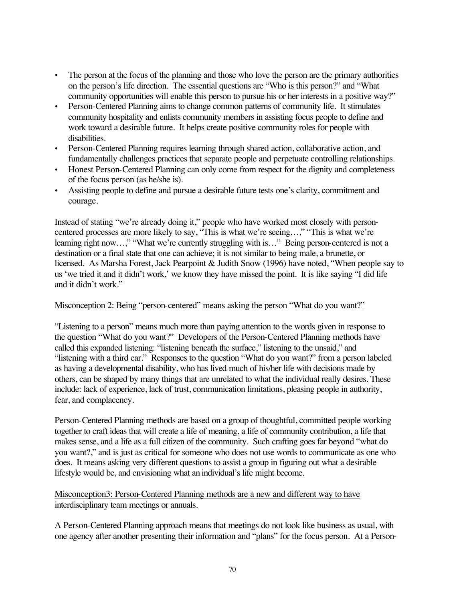- The person at the focus of the planning and those who love the person are the primary authorities on the person's life direction. The essential questions are "Who is this person?" and "What community opportunities will enable this person to pursue his or her interests in a positive way?"
- Person-Centered Planning aims to change common patterns of community life. It stimulates community hospitality and enlists community members in assisting focus people to define and work toward a desirable future. It helps create positive community roles for people with disabilities.
- Person-Centered Planning requires learning through shared action, collaborative action, and fundamentally challenges practices that separate people and perpetuate controlling relationships.
- Honest Person-Centered Planning can only come from respect for the dignity and completeness of the focus person (as he/she is).
- Assisting people to define and pursue a desirable future tests one's clarity, commitment and courage.

Instead of stating "we're already doing it," people who have worked most closely with personcentered processes are more likely to say, "This is what we're seeing…," "This is what we're learning right now…," "What we're currently struggling with is…" Being person-centered is not a destination or a final state that one can achieve; it is not similar to being male, a brunette, or licensed. As Marsha Forest, Jack Pearpoint & Judith Snow (1996) have noted, "When people say to us 'we tried it and it didn't work,' we know they have missed the point. It is like saying "I did life and it didn't work."

## Misconception 2: Being "person-centered" means asking the person "What do you want?"

"Listening to a person" means much more than paying attention to the words given in response to the question "What do you want?" Developers of the Person-Centered Planning methods have called this expanded listening: "listening beneath the surface," listening to the unsaid," and "listening with a third ear." Responses to the question "What do you want?" from a person labeled as having a developmental disability, who has lived much of his/her life with decisions made by others, can be shaped by many things that are unrelated to what the individual really desires. These include: lack of experience, lack of trust, communication limitations, pleasing people in authority, fear, and complacency.

Person-Centered Planning methods are based on a group of thoughtful, committed people working together to craft ideas that will create a life of meaning, a life of community contribution, a life that makes sense, and a life as a full citizen of the community. Such crafting goes far beyond "what do you want?," and is just as critical for someone who does not use words to communicate as one who does. It means asking very different questions to assist a group in figuring out what a desirable lifestyle would be, and envisioning what an individual's life might become.

### Misconception3: Person-Centered Planning methods are a new and different way to have interdisciplinary team meetings or annuals.

A Person-Centered Planning approach means that meetings do not look like business as usual, with one agency after another presenting their information and "plans" for the focus person. At a Person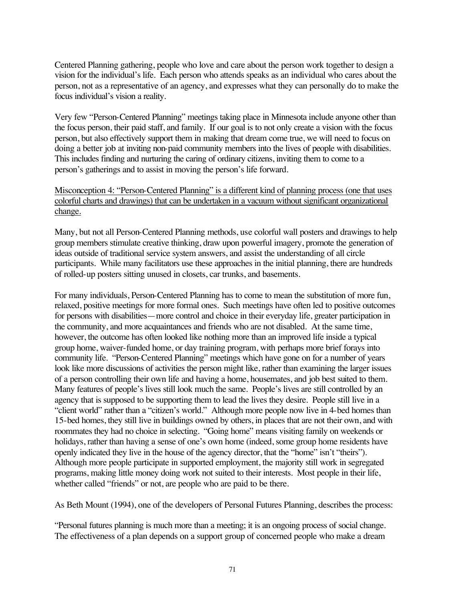Centered Planning gathering, people who love and care about the person work together to design a vision for the individual's life. Each person who attends speaks as an individual who cares about the person, not as a representative of an agency, and expresses what they can personally do to make the focus individual's vision a reality.

Very few "Person-Centered Planning" meetings taking place in Minnesota include anyone other than the focus person, their paid staff, and family. If our goal is to not only create a vision with the focus person, but also effectively support them in making that dream come true, we will need to focus on doing a better job at inviting non-paid community members into the lives of people with disabilities. This includes finding and nurturing the caring of ordinary citizens, inviting them to come to a person's gatherings and to assist in moving the person's life forward.

### Misconception 4: "Person-Centered Planning" is a different kind of planning process (one that uses colorful charts and drawings) that can be undertaken in a vacuum without significant organizational change.

Many, but not all Person-Centered Planning methods, use colorful wall posters and drawings to help group members stimulate creative thinking, draw upon powerful imagery, promote the generation of ideas outside of traditional service system answers, and assist the understanding of all circle participants. While many facilitators use these approaches in the initial planning, there are hundreds of rolled-up posters sitting unused in closets, car trunks, and basements.

For many individuals, Person-Centered Planning has to come to mean the substitution of more fun, relaxed, positive meetings for more formal ones. Such meetings have often led to positive outcomes for persons with disabilities—more control and choice in their everyday life, greater participation in the community, and more acquaintances and friends who are not disabled. At the same time, however, the outcome has often looked like nothing more than an improved life inside a typical group home, waiver-funded home, or day training program, with perhaps more brief forays into community life. "Person-Centered Planning" meetings which have gone on for a number of years look like more discussions of activities the person might like, rather than examining the larger issues of a person controlling their own life and having a home, housemates, and job best suited to them. Many features of people's lives still look much the same. People's lives are still controlled by an agency that is supposed to be supporting them to lead the lives they desire. People still live in a "client world" rather than a "citizen's world." Although more people now live in 4-bed homes than 15-bed homes, they still live in buildings owned by others, in places that are not their own, and with roommates they had no choice in selecting. "Going home" means visiting family on weekends or holidays, rather than having a sense of one's own home (indeed, some group home residents have openly indicated they live in the house of the agency director, that the "home" isn't "theirs"). Although more people participate in supported employment, the majority still work in segregated programs, making little money doing work not suited to their interests. Most people in their life, whether called "friends" or not, are people who are paid to be there.

As Beth Mount (1994), one of the developers of Personal Futures Planning, describes the process:

"Personal futures planning is much more than a meeting; it is an ongoing process of social change. The effectiveness of a plan depends on a support group of concerned people who make a dream